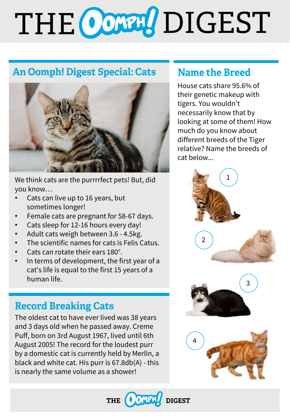# THE CONN DIGEST

## **An Oomph! Digest Special: Cats**



We think cats are the purrrrfect pets! But, did you know…

- Cats can live up to 16 years, but sometimes longer!
- Female cats are pregnant for 58-67 days.
- Cats sleep for 12-16 hours every day!
- Adult cats weigh between 3.6 4.5kg.
- The scientific names for cats is Felis Catus.
- Cats can rotate their ears 180°.
- In terms of development, the first year of a cat's life is equal to the first 15 years of a human life.

## **Record Breaking Cats**

The oldest cat to have ever lived was 38 years and 3 days old when he passed away. Creme Puff, born on 3rd August 1967, lived until 6th August 2005! The record for the loudest purr by a domestic cat is currently held by Merlin, a black and white cat. His purr is 67.8db(A) - this is nearly the same volume as a shower!

## **Name the Breed**

House cats share 95.6% of their genetic makeup with tigers. You wouldn't necessarily know that by looking at some of them! How much do you know about different breeds of the Tiger relative? Name the breeds of cat below...



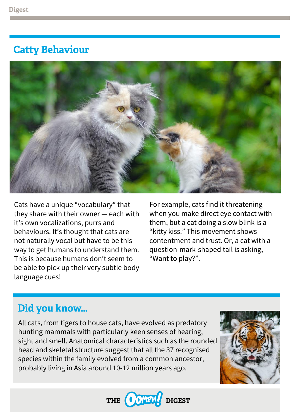## **Catty Behaviour**



Cats have a unique "vocabulary" that they share with their owner — each with it's own vocalizations, purrs and behaviours. It's thought that cats are not naturally vocal but have to be this way to get humans to understand them. This is because humans don't seem to be able to pick up their very subtle body language cues!

For example, cats find it threatening when you make direct eye contact with them, but a cat doing a slow blink is a "kitty kiss." This movement shows contentment and trust. Or, a cat with a question-mark-shaped tail is asking, "Want to play?".

## Did you know...

All cats, from tigers to house cats, have evolved as predatory hunting mammals with particularly keen senses of hearing, sight and smell. Anatomical characteristics such as the rounded head and skeletal structure suggest that all the 37 recognised species within the family evolved from a common ancestor, probably living in Asia around 10-12 million years ago.